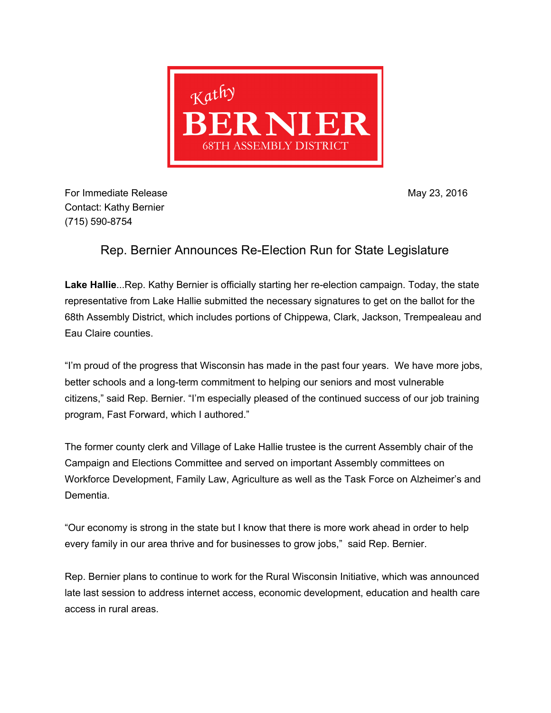

For Immediate Release May 23, 2016 Contact: Kathy Bernier (715) 590-8754

## Rep. Bernier Announces Re-Election Run for State Legislature

**Lake Hallie...Rep. Kathy Bernier is officially starting her re-election campaign. Today, the state** representative from Lake Hallie submitted the necessary signatures to get on the ballot for the 68th Assembly District, which includes portions of Chippewa, Clark, Jackson, Trempealeau and Eau Claire counties.

"I'm proud of the progress that Wisconsin has made in the past four years. We have more jobs, better schools and a long-term commitment to helping our seniors and most vulnerable citizens," said Rep. Bernier. "I'm especially pleased of the continued success of our job training program, Fast Forward, which I authored."

The former county clerk and Village of Lake Hallie trustee is the current Assembly chair of the Campaign and Elections Committee and served on important Assembly committees on Workforce Development, Family Law, Agriculture as well as the Task Force on Alzheimer's and Dementia.

"Our economy is strong in the state but I know that there is more work ahead in order to help every family in our area thrive and for businesses to grow jobs," said Rep. Bernier.

Rep. Bernier plans to continue to work for the Rural Wisconsin Initiative, which was announced late last session to address internet access, economic development, education and health care access in rural areas.